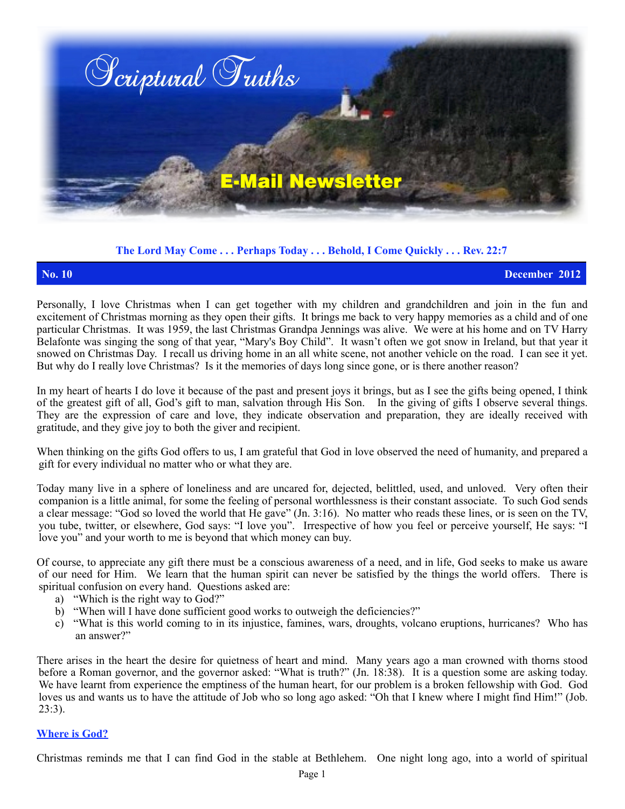

## **The Lord May Come . . . Perhaps Today . . . Behold, I Come Quickly . . . Rev. 22:7**

**No. 10 December 2012**

Personally, I love Christmas when I can get together with my children and grandchildren and join in the fun and excitement of Christmas morning as they open their gifts. It brings me back to very happy memories as a child and of one particular Christmas. It was 1959, the last Christmas Grandpa Jennings was alive. We were at his home and on TV Harry Belafonte was singing the song of that year, "Mary's Boy Child". It wasn't often we got snow in Ireland, but that year it snowed on Christmas Day. I recall us driving home in an all white scene, not another vehicle on the road. I can see it yet. But why do I really love Christmas? Is it the memories of days long since gone, or is there another reason?

In my heart of hearts I do love it because of the past and present joys it brings, but as I see the gifts being opened, I think of the greatest gift of all, God's gift to man, salvation through His Son. In the giving of gifts I observe several things. They are the expression of care and love, they indicate observation and preparation, they are ideally received with gratitude, and they give joy to both the giver and recipient.

When thinking on the gifts God offers to us, I am grateful that God in love observed the need of humanity, and prepared a gift for every individual no matter who or what they are.

Today many live in a sphere of loneliness and are uncared for, dejected, belittled, used, and unloved. Very often their companion is a little animal, for some the feeling of personal worthlessness is their constant associate. To such God sends a clear message: "God so loved the world that He gave" (Jn. 3:16). No matter who reads these lines, or is seen on the TV, you tube, twitter, or elsewhere, God says: "I love you". Irrespective of how you feel or perceive yourself, He says: "I love you" and your worth to me is beyond that which money can buy.

Of course, to appreciate any gift there must be a conscious awareness of a need, and in life, God seeks to make us aware of our need for Him. We learn that the human spirit can never be satisfied by the things the world offers. There is spiritual confusion on every hand. Questions asked are:

- a) "Which is the right way to God?"
- b) "When will I have done sufficient good works to outweigh the deficiencies?"
- c) "What is this world coming to in its injustice, famines, wars, droughts, volcano eruptions, hurricanes? Who has an answer?"

There arises in the heart the desire for quietness of heart and mind. Many years ago a man crowned with thorns stood before a Roman governor, and the governor asked: "What is truth?" (Jn. 18:38). It is a question some are asking today. We have learnt from experience the emptiness of the human heart, for our problem is a broken fellowship with God. God loves us and wants us to have the attitude of Job who so long ago asked: "Oh that I knew where I might find Him!" (Job. 23:3).

### **Where is God?**

Christmas reminds me that I can find God in the stable at Bethlehem. One night long ago, into a world of spiritual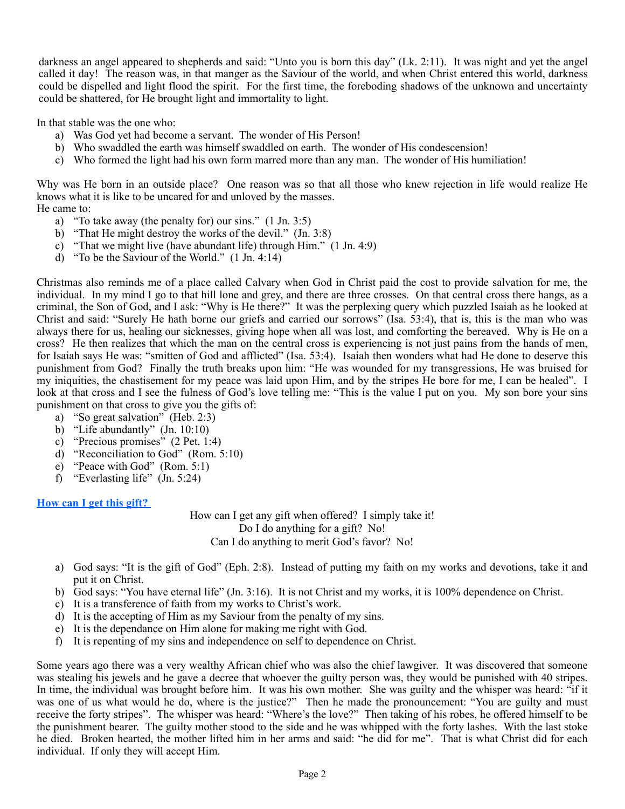darkness an angel appeared to shepherds and said: "Unto you is born this day" (Lk. 2:11). It was night and yet the angel called it day! The reason was, in that manger as the Saviour of the world, and when Christ entered this world, darkness could be dispelled and light flood the spirit. For the first time, the foreboding shadows of the unknown and uncertainty could be shattered, for He brought light and immortality to light.

In that stable was the one who:

- a) Was God yet had become a servant. The wonder of His Person!
- b) Who swaddled the earth was himself swaddled on earth. The wonder of His condescension!
- c) Who formed the light had his own form marred more than any man. The wonder of His humiliation!

Why was He born in an outside place? One reason was so that all those who knew rejection in life would realize He knows what it is like to be uncared for and unloved by the masses.

He came to:

- a) "To take away (the penalty for) our sins." (1 Jn. 3:5)
- b) "That He might destroy the works of the devil." (Jn. 3:8)
- c) "That we might live (have abundant life) through Him." (1 Jn. 4:9)
- d) "To be the Saviour of the World." (1 Jn. 4:14)

Christmas also reminds me of a place called Calvary when God in Christ paid the cost to provide salvation for me, the individual. In my mind I go to that hill lone and grey, and there are three crosses. On that central cross there hangs, as a criminal, the Son of God, and I ask: "Why is He there?" It was the perplexing query which puzzled Isaiah as he looked at Christ and said: "Surely He hath borne our griefs and carried our sorrows" (Isa. 53:4), that is, this is the man who was always there for us, healing our sicknesses, giving hope when all was lost, and comforting the bereaved. Why is He on a cross? He then realizes that which the man on the central cross is experiencing is not just pains from the hands of men, for Isaiah says He was: "smitten of God and afflicted" (Isa. 53:4). Isaiah then wonders what had He done to deserve this punishment from God? Finally the truth breaks upon him: "He was wounded for my transgressions, He was bruised for my iniquities, the chastisement for my peace was laid upon Him, and by the stripes He bore for me, I can be healed". I look at that cross and I see the fulness of God's love telling me: "This is the value I put on you. My son bore your sins punishment on that cross to give you the gifts of:

- a) "So great salvation" (Heb. 2:3)
- b) "Life abundantly" (Jn. 10:10)
- c) "Precious promises"(2 Pet. 1:4)
- d) "Reconciliation to God" (Rom. 5:10)
- e) "Peace with God" (Rom. 5:1)
- f) "Everlasting life"  $($  Jn. 5:24)

# **How can I get this gift?**

How can I get any gift when offered? I simply take it! Do I do anything for a gift? No! Can I do anything to merit God's favor? No!

- a) God says: "It is the gift of God" (Eph. 2:8). Instead of putting my faith on my works and devotions, take it and put it on Christ.
- b) God says: "You have eternal life" (Jn. 3:16). It is not Christ and my works, it is 100% dependence on Christ.
- c) It is a transference of faith from my works to Christ's work.
- d) It is the accepting of Him as my Saviour from the penalty of my sins.
- e) It is the dependance on Him alone for making me right with God.
- f) It is repenting of my sins and independence on self to dependence on Christ.

Some years ago there was a very wealthy African chief who was also the chief lawgiver. It was discovered that someone was stealing his jewels and he gave a decree that whoever the guilty person was, they would be punished with 40 stripes. In time, the individual was brought before him. It was his own mother. She was guilty and the whisper was heard: "if it was one of us what would he do, where is the justice?" Then he made the pronouncement: "You are guilty and must receive the forty stripes". The whisper was heard: "Where's the love?" Then taking of his robes, he offered himself to be the punishment bearer. The guilty mother stood to the side and he was whipped with the forty lashes. With the last stoke he died. Broken hearted, the mother lifted him in her arms and said: "he did for me". That is what Christ did for each individual. If only they will accept Him.